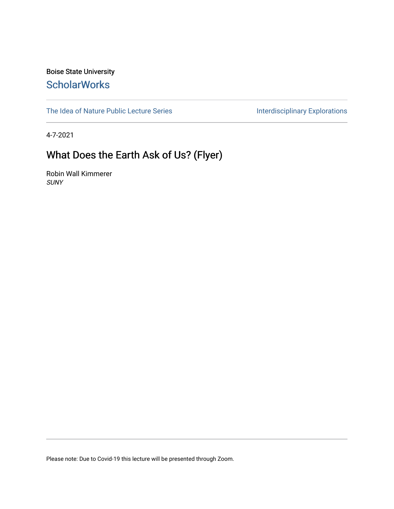#### Boise State University **ScholarWorks**

[The Idea of Nature Public Lecture Series](https://scholarworks.boisestate.edu/ideaofnature) **Interdisciplinary Explorations** 

4-7-2021

#### What Does the Earth Ask of Us? (Flyer)

Robin Wall Kimmerer SUNY

Please note: Due to Covid-19 this lecture will be presented through Zoom.